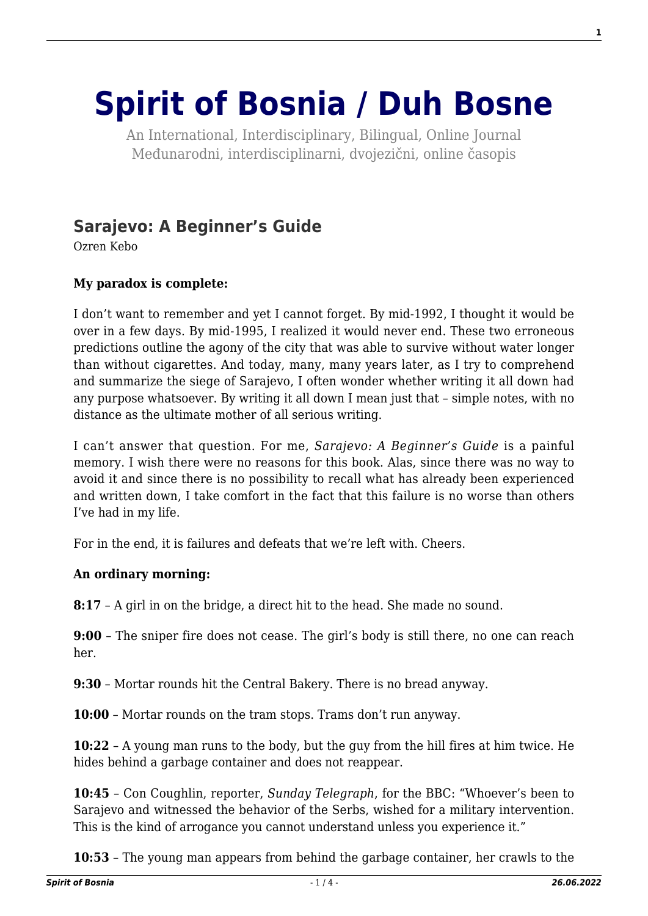# **[Spirit of Bosnia / Duh Bosne](http://www.spiritofbosnia.org/)**

An International, Interdisciplinary, Bilingual, Online Journal Međunarodni, interdisciplinarni, dvojezični, online časopis

## **[Sarajevo: A Beginner's Guide](http://www.spiritofbosnia.org/volume-11-no-4-2016october/sarajevo-a-beginners-guide/)**

Ozren Kebo

### **My paradox is complete:**

I don't want to remember and yet I cannot forget. By mid-1992, I thought it would be over in a few days. By mid-1995, I realized it would never end. These two erroneous predictions outline the agony of the city that was able to survive without water longer than without cigarettes. And today, many, many years later, as I try to comprehend and summarize the siege of Sarajevo, I often wonder whether writing it all down had any purpose whatsoever. By writing it all down I mean just that – simple notes, with no distance as the ultimate mother of all serious writing.

I can't answer that question. For me, *Sarajevo: A Beginner's Guide* is a painful memory. I wish there were no reasons for this book. Alas, since there was no way to avoid it and since there is no possibility to recall what has already been experienced and written down, I take comfort in the fact that this failure is no worse than others I've had in my life.

For in the end, it is failures and defeats that we're left with. Cheers.

#### **An ordinary morning:**

**8:17** – A girl in on the bridge, a direct hit to the head. She made no sound.

**9:00** – The sniper fire does not cease. The girl's body is still there, no one can reach her.

**9:30** – Mortar rounds hit the Central Bakery. There is no bread anyway.

**10:00** – Mortar rounds on the tram stops. Trams don't run anyway.

**10:22** – A young man runs to the body, but the guy from the hill fires at him twice. He hides behind a garbage container and does not reappear.

**10:45** – Con Coughlin, reporter, *Sunday Telegraph*, for the BBC: "Whoever's been to Sarajevo and witnessed the behavior of the Serbs, wished for a military intervention. This is the kind of arrogance you cannot understand unless you experience it."

**10:53** – The young man appears from behind the garbage container, her crawls to the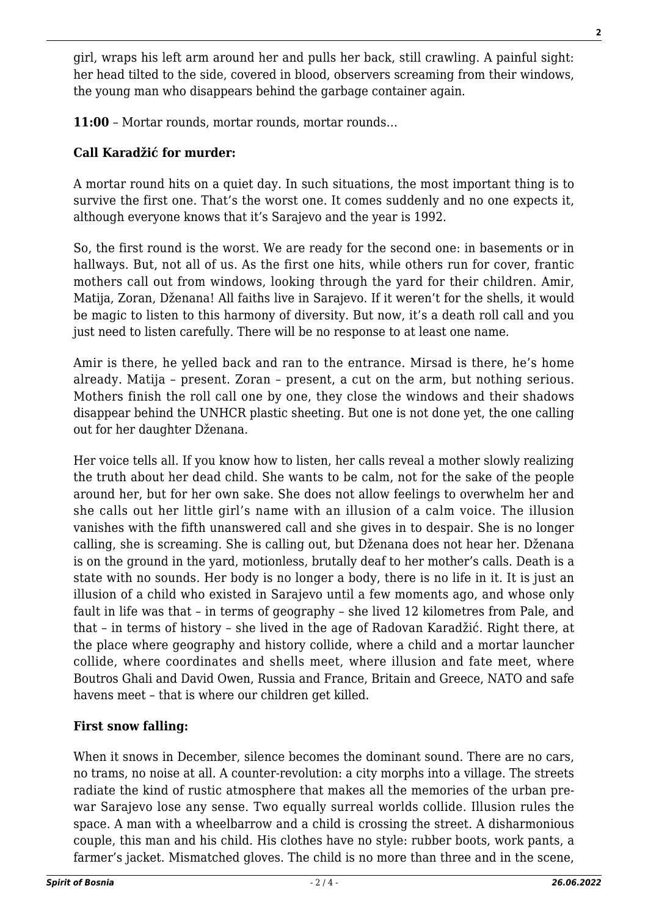girl, wraps his left arm around her and pulls her back, still crawling. A painful sight: her head tilted to the side, covered in blood, observers screaming from their windows, the young man who disappears behind the garbage container again.

**11:00** – Mortar rounds, mortar rounds, mortar rounds…

#### **Call Karadžić for murder:**

A mortar round hits on a quiet day. In such situations, the most important thing is to survive the first one. That's the worst one. It comes suddenly and no one expects it, although everyone knows that it's Sarajevo and the year is 1992.

So, the first round is the worst. We are ready for the second one: in basements or in hallways. But, not all of us. As the first one hits, while others run for cover, frantic mothers call out from windows, looking through the yard for their children. Amir, Matija, Zoran, Dženana! All faiths live in Sarajevo. If it weren't for the shells, it would be magic to listen to this harmony of diversity. But now, it's a death roll call and you just need to listen carefully. There will be no response to at least one name.

Amir is there, he yelled back and ran to the entrance. Mirsad is there, he's home already. Matija – present. Zoran – present, a cut on the arm, but nothing serious. Mothers finish the roll call one by one, they close the windows and their shadows disappear behind the UNHCR plastic sheeting. But one is not done yet, the one calling out for her daughter Dženana.

Her voice tells all. If you know how to listen, her calls reveal a mother slowly realizing the truth about her dead child. She wants to be calm, not for the sake of the people around her, but for her own sake. She does not allow feelings to overwhelm her and she calls out her little girl's name with an illusion of a calm voice. The illusion vanishes with the fifth unanswered call and she gives in to despair. She is no longer calling, she is screaming. She is calling out, but Dženana does not hear her. Dženana is on the ground in the yard, motionless, brutally deaf to her mother's calls. Death is a state with no sounds. Her body is no longer a body, there is no life in it. It is just an illusion of a child who existed in Sarajevo until a few moments ago, and whose only fault in life was that – in terms of geography – she lived 12 kilometres from Pale, and that – in terms of history – she lived in the age of Radovan Karadžić. Right there, at the place where geography and history collide, where a child and a mortar launcher collide, where coordinates and shells meet, where illusion and fate meet, where Boutros Ghali and David Owen, Russia and France, Britain and Greece, NATO and safe havens meet – that is where our children get killed.

#### **First snow falling:**

When it snows in December, silence becomes the dominant sound. There are no cars, no trams, no noise at all. A counter-revolution: a city morphs into a village. The streets radiate the kind of rustic atmosphere that makes all the memories of the urban prewar Sarajevo lose any sense. Two equally surreal worlds collide. Illusion rules the space. A man with a wheelbarrow and a child is crossing the street. A disharmonious couple, this man and his child. His clothes have no style: rubber boots, work pants, a farmer's jacket. Mismatched gloves. The child is no more than three and in the scene,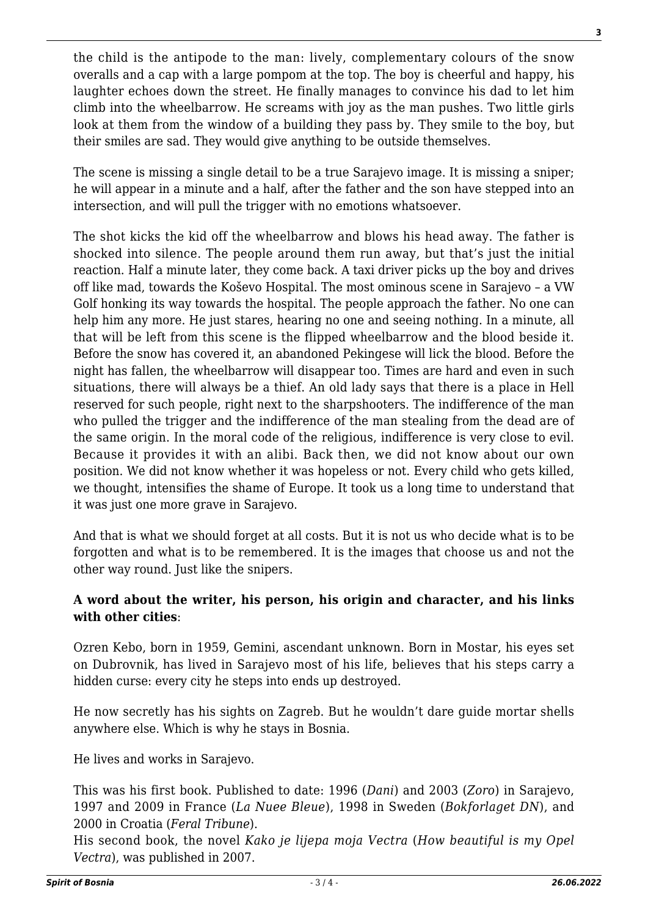the child is the antipode to the man: lively, complementary colours of the snow overalls and a cap with a large pompom at the top. The boy is cheerful and happy, his laughter echoes down the street. He finally manages to convince his dad to let him climb into the wheelbarrow. He screams with joy as the man pushes. Two little girls look at them from the window of a building they pass by. They smile to the boy, but their smiles are sad. They would give anything to be outside themselves.

The scene is missing a single detail to be a true Sarajevo image. It is missing a sniper; he will appear in a minute and a half, after the father and the son have stepped into an intersection, and will pull the trigger with no emotions whatsoever.

The shot kicks the kid off the wheelbarrow and blows his head away. The father is shocked into silence. The people around them run away, but that's just the initial reaction. Half a minute later, they come back. A taxi driver picks up the boy and drives off like mad, towards the Koševo Hospital. The most ominous scene in Sarajevo – a VW Golf honking its way towards the hospital. The people approach the father. No one can help him any more. He just stares, hearing no one and seeing nothing. In a minute, all that will be left from this scene is the flipped wheelbarrow and the blood beside it. Before the snow has covered it, an abandoned Pekingese will lick the blood. Before the night has fallen, the wheelbarrow will disappear too. Times are hard and even in such situations, there will always be a thief. An old lady says that there is a place in Hell reserved for such people, right next to the sharpshooters. The indifference of the man who pulled the trigger and the indifference of the man stealing from the dead are of the same origin. In the moral code of the religious, indifference is very close to evil. Because it provides it with an alibi. Back then, we did not know about our own position. We did not know whether it was hopeless or not. Every child who gets killed, we thought, intensifies the shame of Europe. It took us a long time to understand that it was just one more grave in Sarajevo.

And that is what we should forget at all costs. But it is not us who decide what is to be forgotten and what is to be remembered. It is the images that choose us and not the other way round. Just like the snipers.

#### **A word about the writer, his person, his origin and character, and his links with other cities**:

Ozren Kebo, born in 1959, Gemini, ascendant unknown. Born in Mostar, his eyes set on Dubrovnik, has lived in Sarajevo most of his life, believes that his steps carry a hidden curse: every city he steps into ends up destroyed.

He now secretly has his sights on Zagreb. But he wouldn't dare guide mortar shells anywhere else. Which is why he stays in Bosnia.

He lives and works in Sarajevo.

This was his first book. Published to date: 1996 (*Dani*) and 2003 (*Zoro*) in Sarajevo, 1997 and 2009 in France (*La Nuee Bleue*), 1998 in Sweden (*Bokforlaget DN*), and 2000 in Croatia (*Feral Tribune*).

His second book, the novel *Kako je lijepa moja Vectra* (*How beautiful is my Opel Vectra*), was published in 2007.